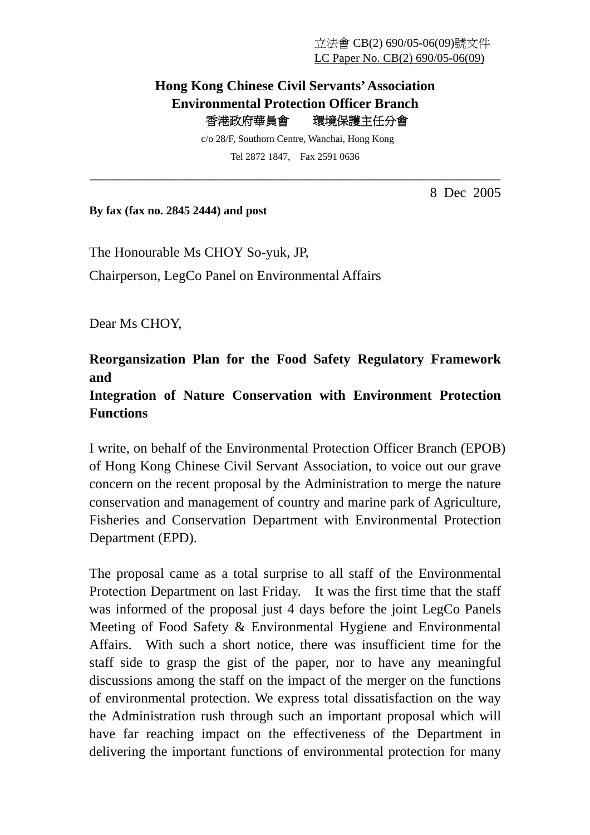## **Hong Kong Chinese Civil Servants' Association Environmental Protection Officer Branch**  香港政府華員會環境保護主任分會

 c/o 28/F, Southorn Centre, Wanchai, Hong Kong Tel 2872 1847, Fax 2591 0636

**\_\_\_\_\_\_\_\_\_\_\_\_\_\_\_\_\_\_\_\_\_\_\_\_\_\_\_\_\_\_\_\_\_\_\_\_\_\_\_\_\_\_\_\_\_\_\_\_\_\_\_\_\_\_\_\_\_\_\_\_\_\_\_\_\_\_\_\_\_** 

8 Dec 2005

**By fax (fax no. 2845 2444) and post** 

The Honourable Ms CHOY So-yuk, JP, Chairperson, LegCo Panel on Environmental Affairs

Dear Ms CHOY,

## **Reorgansization Plan for the Food Safety Regulatory Framework and**

## **Integration of Nature Conservation with Environment Protection Functions**

I write, on behalf of the Environmental Protection Officer Branch (EPOB) of Hong Kong Chinese Civil Servant Association, to voice out our grave concern on the recent proposal by the Administration to merge the nature conservation and management of country and marine park of Agriculture, Fisheries and Conservation Department with Environmental Protection Department (EPD).

The proposal came as a total surprise to all staff of the Environmental Protection Department on last Friday. It was the first time that the staff was informed of the proposal just 4 days before the joint LegCo Panels Meeting of Food Safety & Environmental Hygiene and Environmental Affairs. With such a short notice, there was insufficient time for the staff side to grasp the gist of the paper, nor to have any meaningful discussions among the staff on the impact of the merger on the functions of environmental protection. We express total dissatisfaction on the way the Administration rush through such an important proposal which will have far reaching impact on the effectiveness of the Department in delivering the important functions of environmental protection for many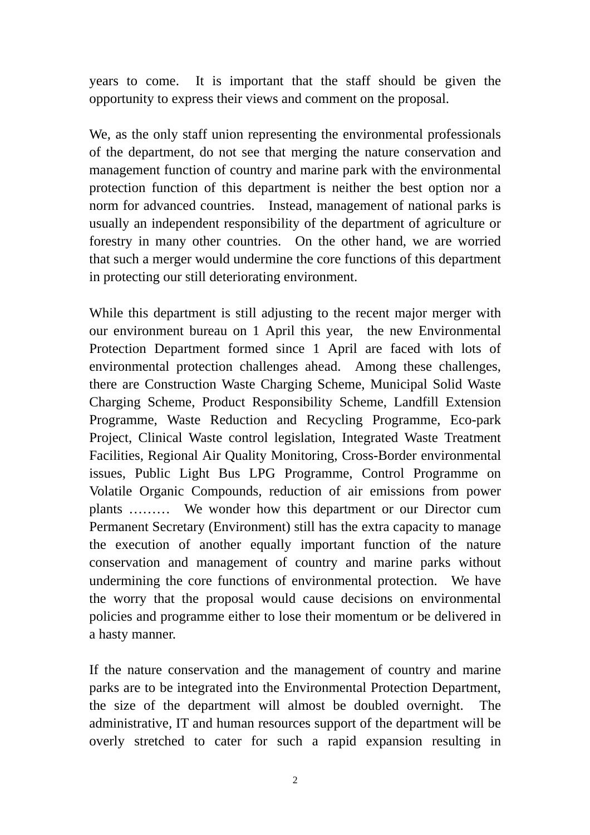years to come. It is important that the staff should be given the opportunity to express their views and comment on the proposal.

We, as the only staff union representing the environmental professionals of the department, do not see that merging the nature conservation and management function of country and marine park with the environmental protection function of this department is neither the best option nor a norm for advanced countries. Instead, management of national parks is usually an independent responsibility of the department of agriculture or forestry in many other countries. On the other hand, we are worried that such a merger would undermine the core functions of this department in protecting our still deteriorating environment.

While this department is still adjusting to the recent major merger with our environment bureau on 1 April this year, the new Environmental Protection Department formed since 1 April are faced with lots of environmental protection challenges ahead. Among these challenges, there are Construction Waste Charging Scheme, Municipal Solid Waste Charging Scheme, Product Responsibility Scheme, Landfill Extension Programme, Waste Reduction and Recycling Programme, Eco-park Project, Clinical Waste control legislation, Integrated Waste Treatment Facilities, Regional Air Quality Monitoring, Cross-Border environmental issues, Public Light Bus LPG Programme, Control Programme on Volatile Organic Compounds, reduction of air emissions from power plants ……… We wonder how this department or our Director cum Permanent Secretary (Environment) still has the extra capacity to manage the execution of another equally important function of the nature conservation and management of country and marine parks without undermining the core functions of environmental protection. We have the worry that the proposal would cause decisions on environmental policies and programme either to lose their momentum or be delivered in a hasty manner.

If the nature conservation and the management of country and marine parks are to be integrated into the Environmental Protection Department, the size of the department will almost be doubled overnight. The administrative, IT and human resources support of the department will be overly stretched to cater for such a rapid expansion resulting in